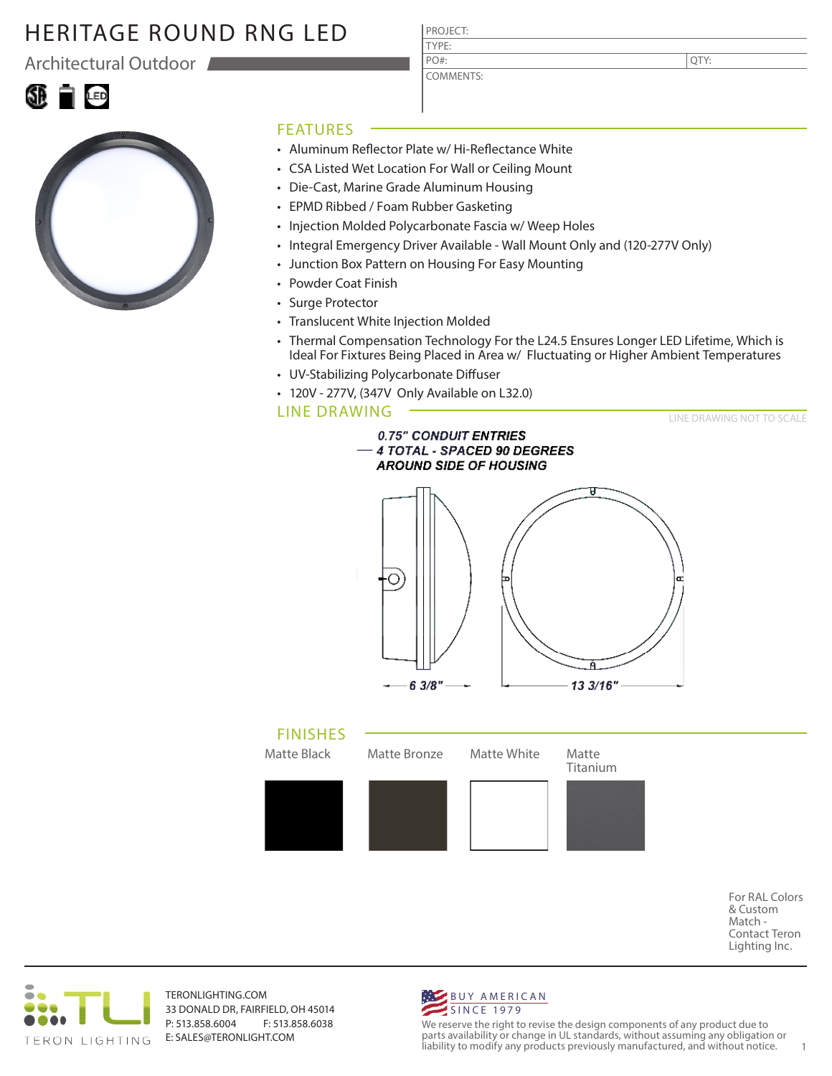Architectural Outdoor

|--|--|



#### FEATURES

• Aluminum Reflector Plate w/ Hi-Reflectance White

PROJECT: TYPE:

PO#:

COMMENTS:

- CSA Listed Wet Location For Wall or Ceiling Mount
- Die-Cast, Marine Grade Aluminum Housing
- EPMD Ribbed / Foam Rubber Gasketing
- Injection Molded Polycarbonate Fascia w/ Weep Holes
- Integral Emergency Driver Available Wall Mount Only and (120-277V Only)
- Junction Box Pattern on Housing For Easy Mounting
- Powder Coat Finish
- Surge Protector
- Translucent White Injection Molded
- Thermal Compensation Technology For the L24.5 Ensures Longer LED Lifetime, Which is Ideal For Fixtures Being Placed in Area w/ Fluctuating or Higher Ambient Temperatures
- UV-Stabilizing Polycarbonate Diffuser
- 120V 277V, (347V Only Available on L32.0)

#### LINE DRAWING

LINE DRAWING NOT TO SCALE







For RAL Colors & Custom Match - Contact Teron Lighting Inc.



TERONLIGHTING.COM 33 DONALD DR, FAIRFIELD, OH 45014 P: 513.858.6004 F: 513.858.6038 E: SALES@TERONLIGHT.COM



We reserve the right to revise the design components of any product due to parts availability or change in UL standards, without assuming any obligation or liability to modify any products previously manufactured, and without notice. 1

QTY: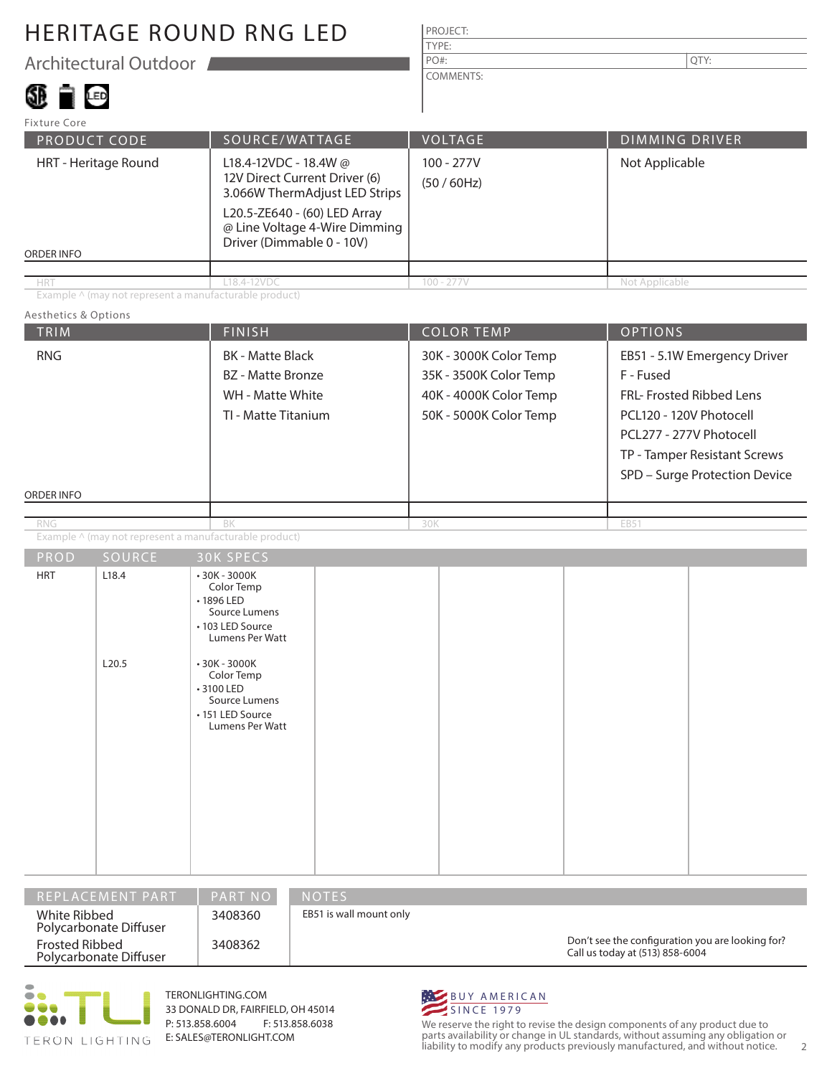Architectural Outdoor

# SI D

| <b>PROJECT:</b> |     |
|-----------------|-----|
| <b>TYPE:</b>    |     |
| $PO#$ :         | TY: |
| COMMENTS:       |     |

| Fixture Core                              |                                                                                                                                                                                       |                           |                       |
|-------------------------------------------|---------------------------------------------------------------------------------------------------------------------------------------------------------------------------------------|---------------------------|-----------------------|
| <b>PRODUCT CODE</b>                       | SOURCE/WATTAGE                                                                                                                                                                        | <b>VOLTAGE</b>            | <b>DIMMING DRIVER</b> |
| HRT - Heritage Round<br><b>ORDER INFO</b> | L18.4-12VDC - 18.4W @<br>12V Direct Current Driver (6)<br>3.066W ThermAdjust LED Strips<br>L20.5-ZE640 - (60) LED Array<br>@ Line Voltage 4-Wire Dimming<br>Driver (Dimmable 0 - 10V) | $100 - 277V$<br>(50/60Hz) | Not Applicable        |
|                                           |                                                                                                                                                                                       |                           |                       |
| <b>HRT</b>                                | L18.4-12VDC                                                                                                                                                                           | $100 - 277V$              | Not Applicable        |

Example ^ (may not represent a manufacturable product)

#### Aesthetics & Options

| <b>TRIM</b>              |                                                        | <b>FINISH</b>                                                                                                                                                                                           | <b>COLOR TEMP</b>                                                                                    | <b>OPTIONS</b>                                                                                                                                                                               |  |
|--------------------------|--------------------------------------------------------|---------------------------------------------------------------------------------------------------------------------------------------------------------------------------------------------------------|------------------------------------------------------------------------------------------------------|----------------------------------------------------------------------------------------------------------------------------------------------------------------------------------------------|--|
| <b>RNG</b><br>ORDER INFO |                                                        | <b>BK</b> - Matte Black<br><b>BZ</b> - Matte Bronze<br>WH - Matte White<br>TI - Matte Titanium                                                                                                          | 30K - 3000K Color Temp<br>35K - 3500K Color Temp<br>40K - 4000K Color Temp<br>50K - 5000K Color Temp | EB51 - 5.1W Emergency Driver<br>F - Fused<br>FRL- Frosted Ribbed Lens<br>PCL120 - 120V Photocell<br>PCL277 - 277V Photocell<br>TP - Tamper Resistant Screws<br>SPD - Surge Protection Device |  |
|                          |                                                        |                                                                                                                                                                                                         |                                                                                                      |                                                                                                                                                                                              |  |
| <b>RNG</b>               | Example ^ (may not represent a manufacturable product) | BK                                                                                                                                                                                                      | 30K                                                                                                  | EB51                                                                                                                                                                                         |  |
| PROD                     | SOURCE                                                 | <b>30K SPECS</b>                                                                                                                                                                                        |                                                                                                      |                                                                                                                                                                                              |  |
| <b>HRT</b>               | L18.4<br>L20.5                                         | $•30K - 3000K$<br>Color Temp<br>•1896 LED<br>Source Lumens<br>• 103 LED Source<br>Lumens Per Watt<br>$•30K - 3000K$<br>Color Temp<br>• 3100 LED<br>Source Lumens<br>• 151 LED Source<br>Lumens Per Watt |                                                                                                      |                                                                                                                                                                                              |  |

| I REPLACEMENT PART '                     | <b>PART NO</b> | $\neg$ NOTES $\neg$                                                                 |
|------------------------------------------|----------------|-------------------------------------------------------------------------------------|
| White Ribbed<br>Polycarbonate Diffuser   | 3408360        | EB51 is wall mount only                                                             |
| Frosted Ribbed<br>Polycarbonate Diffuser | 3408362        | Don't see the configuration you are looking for?<br>Call us today at (513) 858-6004 |



TERONLIGHTING.COM 33 DONALD DR, FAIRFIELD, OH 45014 P: 513.858.6004 F: 513.858.6038 E: SALES@TERONLIGHT.COM



We reserve the right to revise the design components of any product due to parts availability or change in UL standards, without assuming any obligation or liability to modify any products previously manufactured, and without notice. 2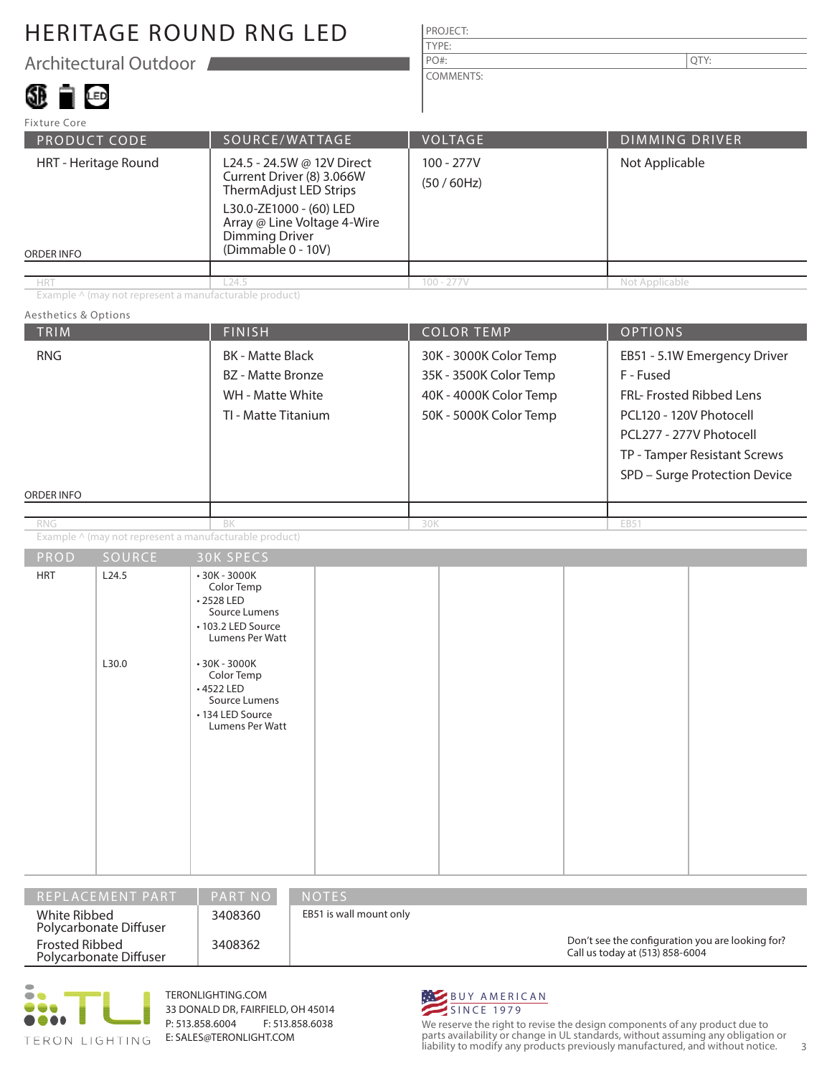Architectural Outdoor

### SD FILED

| .               |     |
|-----------------|-----|
| $PO#$ :         | TY: |
| <b>TYPE:</b>    |     |
| <b>PROJECT:</b> |     |
|                 |     |

COMMENTS:

| Fixture Core                              |                                                                                                                                                                                            |                |                       |  |  |
|-------------------------------------------|--------------------------------------------------------------------------------------------------------------------------------------------------------------------------------------------|----------------|-----------------------|--|--|
| SOURCE/WATTAGE<br>PRODUCT CODE            |                                                                                                                                                                                            | <b>VOLTAGE</b> | <b>DIMMING DRIVER</b> |  |  |
| HRT - Heritage Round<br><b>ORDER INFO</b> | L24.5 - 24.5W @ 12V Direct<br>Current Driver (8) 3.066W<br>ThermAdjust LED Strips<br>L30.0-ZE1000 - (60) LED<br>Array @ Line Voltage 4-Wire<br><b>Dimming Driver</b><br>(Dimmable 0 - 10V) |                | Not Applicable        |  |  |
|                                           |                                                                                                                                                                                            |                |                       |  |  |
| <b>HRT</b>                                | L24.5                                                                                                                                                                                      | $100 - 277V$   | Not Applicable        |  |  |

Example ^ (may not represent a manufacturable product)

#### Aesthetics & Options

| TRIM                     |                | <b>FINISH</b>                                                                                                                                                                                            |     | <b>COLOR TEMP</b>                                                                                    | <b>OPTIONS</b>                                                                                                                                                                               |  |  |
|--------------------------|----------------|----------------------------------------------------------------------------------------------------------------------------------------------------------------------------------------------------------|-----|------------------------------------------------------------------------------------------------------|----------------------------------------------------------------------------------------------------------------------------------------------------------------------------------------------|--|--|
| <b>RNG</b><br>ORDER INFO |                | <b>BK</b> - Matte Black<br>BZ - Matte Bronze<br>WH - Matte White<br>TI - Matte Titanium                                                                                                                  |     | 30K - 3000K Color Temp<br>35K - 3500K Color Temp<br>40K - 4000K Color Temp<br>50K - 5000K Color Temp | EB51 - 5.1W Emergency Driver<br>F - Fused<br>FRL- Frosted Ribbed Lens<br>PCL120 - 120V Photocell<br>PCL277 - 277V Photocell<br>TP - Tamper Resistant Screws<br>SPD - Surge Protection Device |  |  |
| <b>RNG</b>               |                | BK                                                                                                                                                                                                       | 30K |                                                                                                      | EB51                                                                                                                                                                                         |  |  |
|                          |                | Example ^ (may not represent a manufacturable product)                                                                                                                                                   |     |                                                                                                      |                                                                                                                                                                                              |  |  |
| $P$ ROD                  | SOURCE         | <b>30K SPECS</b>                                                                                                                                                                                         |     |                                                                                                      |                                                                                                                                                                                              |  |  |
| <b>HRT</b>               | L24.5<br>L30.0 | $-30K - 3000K$<br>Color Temp<br>•2528 LED<br>Source Lumens<br>• 103.2 LED Source<br>Lumens Per Watt<br>$•30K - 3000K$<br>Color Temp<br>+4522 LED<br>Source Lumens<br>• 134 LED Source<br>Lumens Per Watt |     |                                                                                                      |                                                                                                                                                                                              |  |  |

| I REPLACEMENT PART '                     | <b>PART NO</b> | <b>NOTES</b>                                                                        |
|------------------------------------------|----------------|-------------------------------------------------------------------------------------|
| White Ribbed<br>Polycarbonate Diffuser   | 3408360        | EB51 is wall mount only                                                             |
| Frosted Ribbed<br>Polycarbonate Diffuser | 3408362        | Don't see the configuration you are looking for?<br>Call us today at (513) 858-6004 |



TERONLIGHTING.COM 33 DONALD DR, FAIRFIELD, OH 45014 P: 513.858.6004 F: 513.858.6038 E: SALES@TERONLIGHT.COM



We reserve the right to revise the design components of any product due to parts availability or change in UL standards, without assuming any obligation or liability to modify any products previously manufactured, and without notice. 3